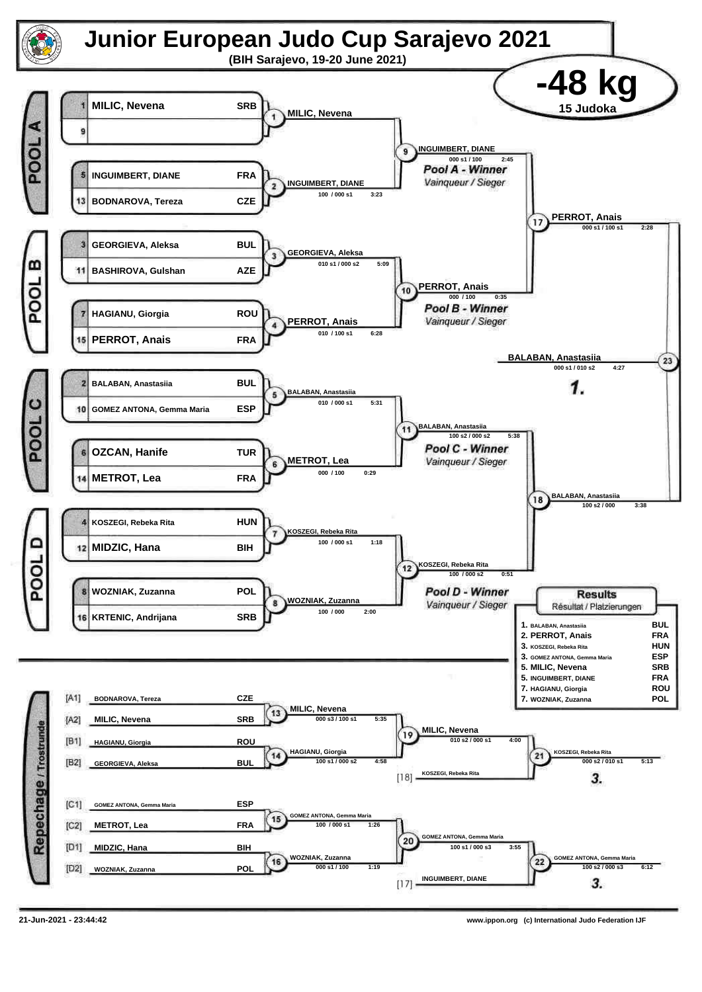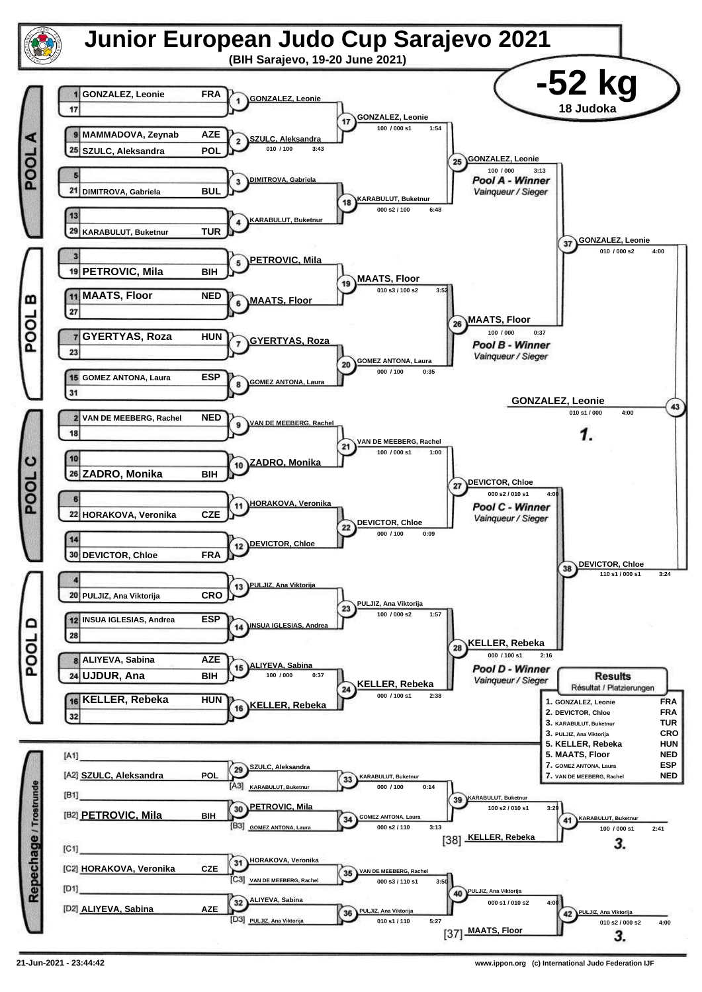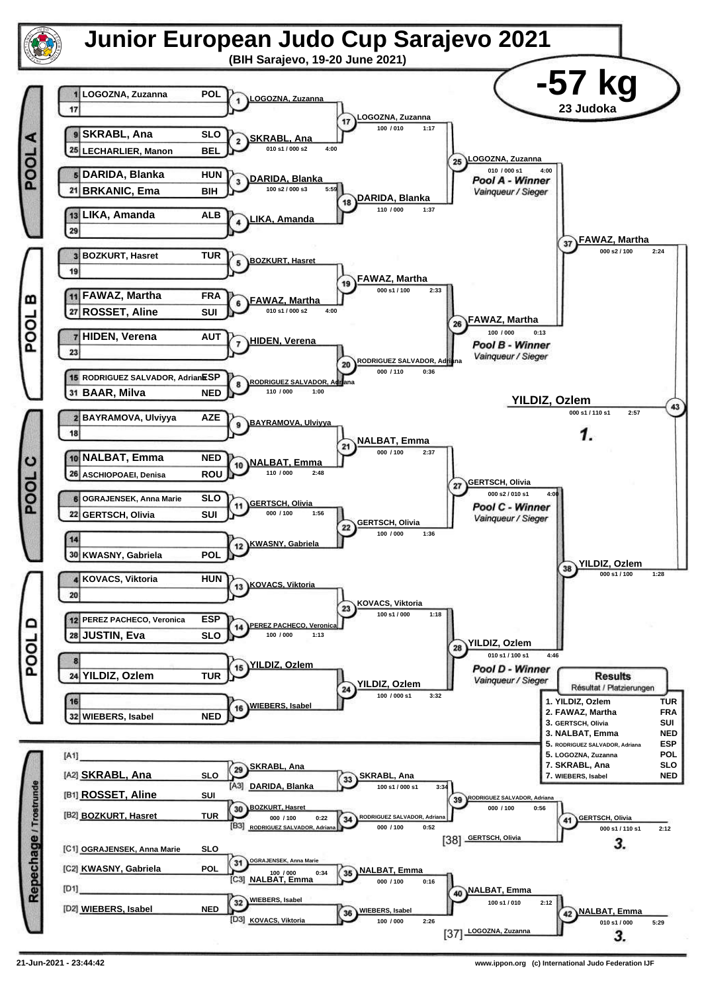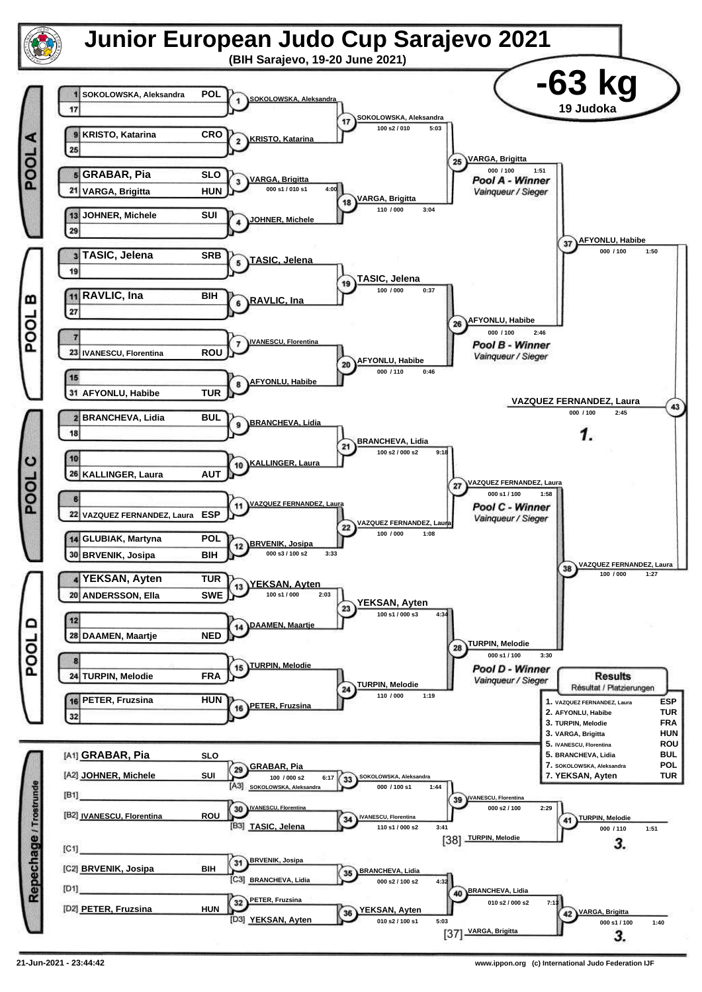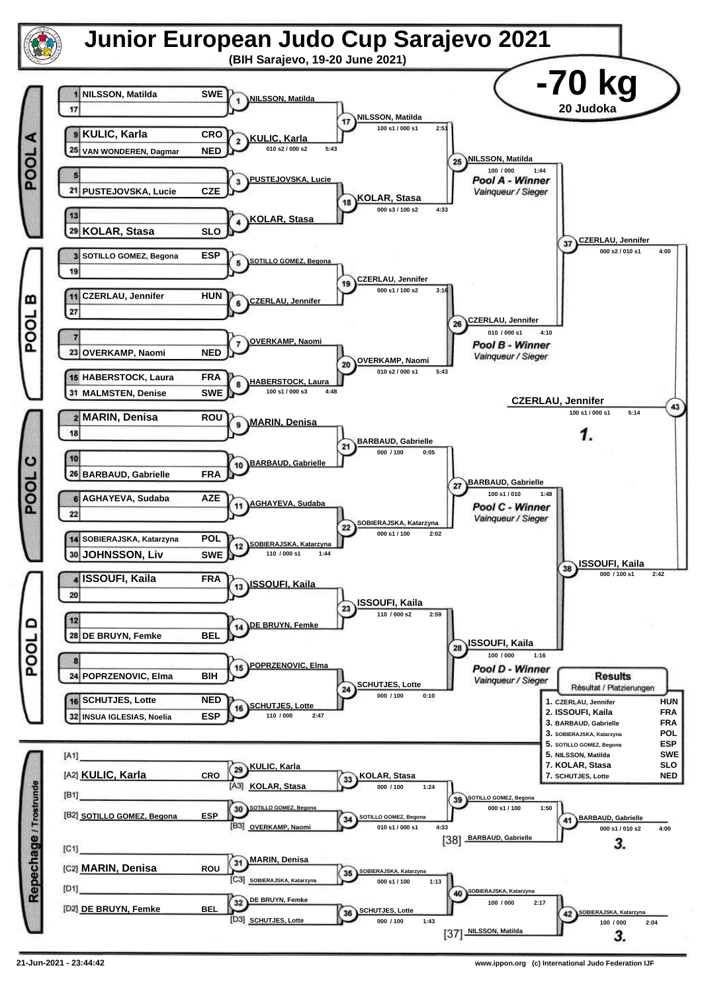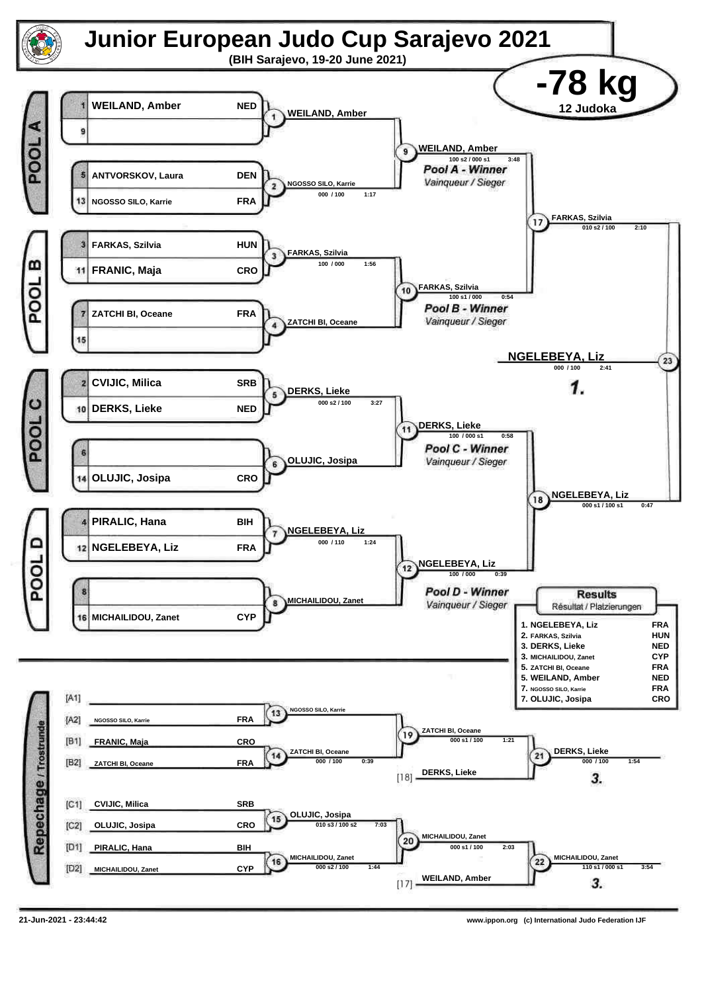